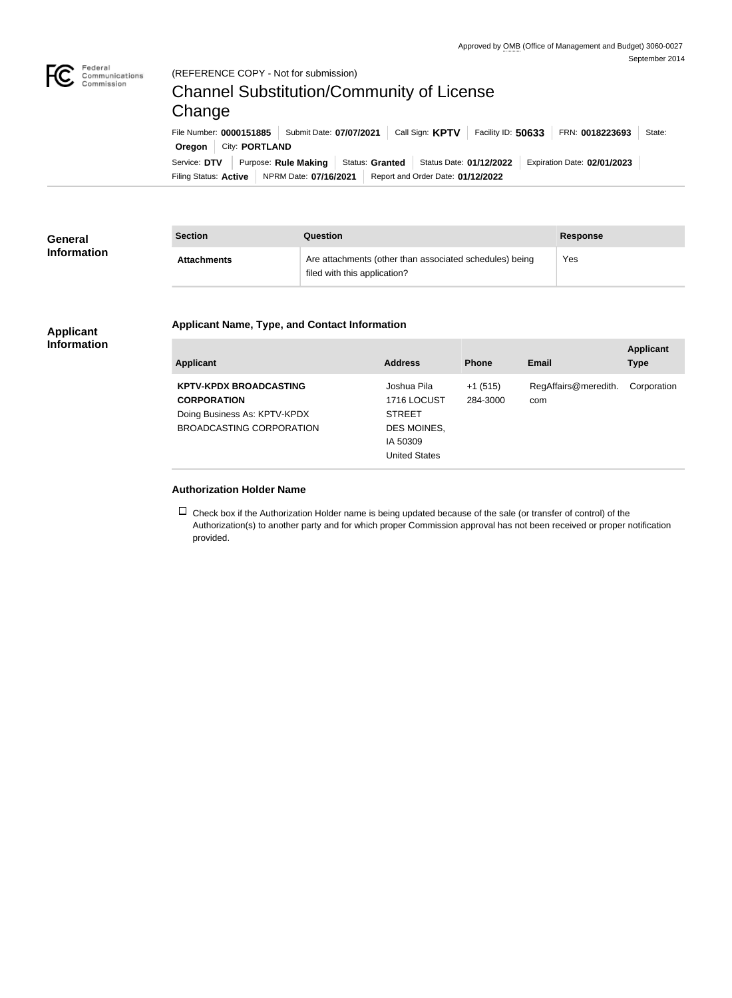

## **Authorization Holder Name**

 $\Box$  Check box if the Authorization Holder name is being updated because of the sale (or transfer of control) of the Authorization(s) to another party and for which proper Commission approval has not been received or proper notification provided.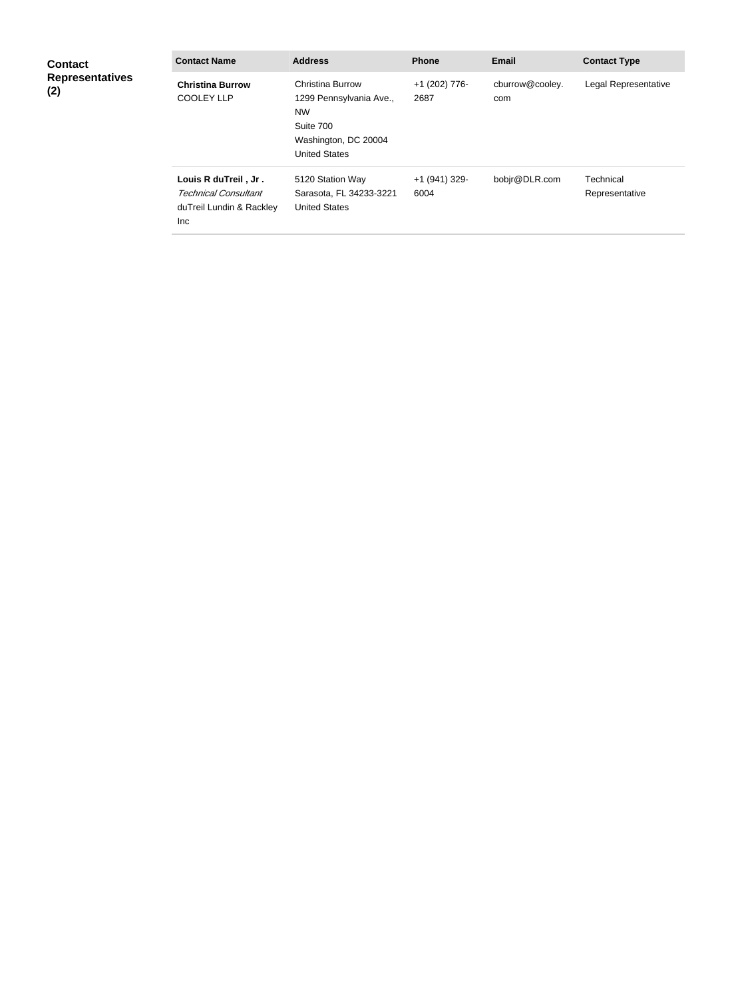| <b>Contact</b><br><b>Representatives</b><br>(2) | <b>Contact Name</b>                                                                     | <b>Address</b>                                                                                                               | <b>Phone</b>          | <b>Email</b>           | <b>Contact Type</b>         |
|-------------------------------------------------|-----------------------------------------------------------------------------------------|------------------------------------------------------------------------------------------------------------------------------|-----------------------|------------------------|-----------------------------|
|                                                 | <b>Christina Burrow</b><br><b>COOLEY LLP</b>                                            | <b>Christina Burrow</b><br>1299 Pennsylvania Ave.,<br><b>NW</b><br>Suite 700<br>Washington, DC 20004<br><b>United States</b> | +1 (202) 776-<br>2687 | cburrow@cooley.<br>com | Legal Representative        |
|                                                 | Louis R duTreil, Jr.<br><b>Technical Consultant</b><br>duTreil Lundin & Rackley<br>Inc. | 5120 Station Way<br>Sarasota, FL 34233-3221<br><b>United States</b>                                                          | +1 (941) 329-<br>6004 | bobjr@DLR.com          | Technical<br>Representative |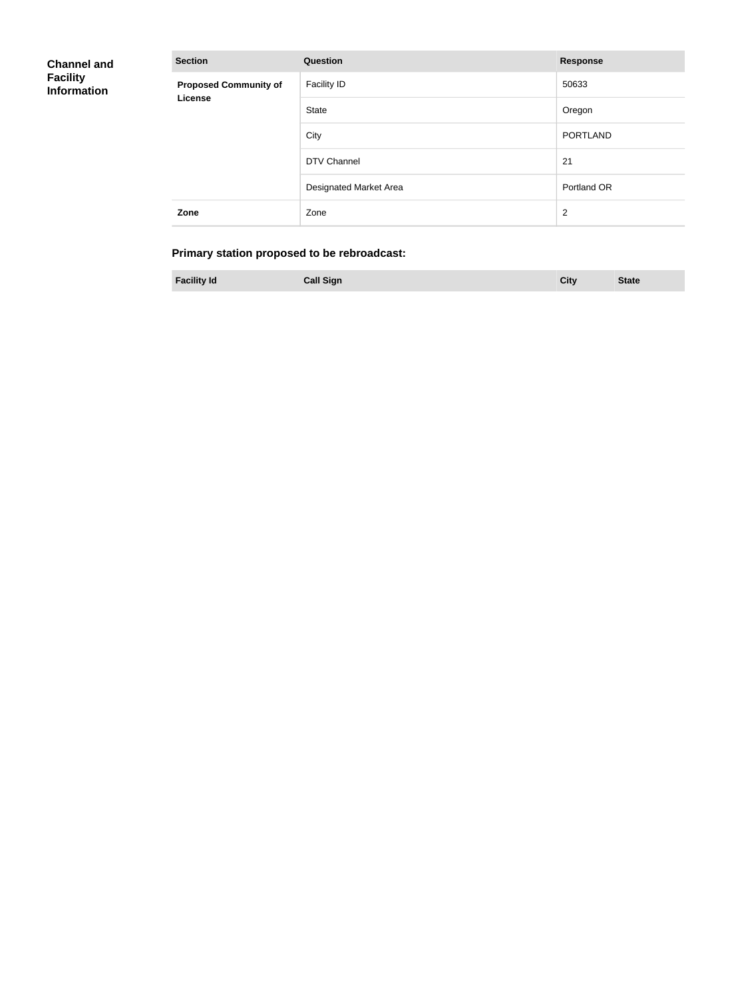| <b>Channel and</b><br><b>Facility</b><br><b>Information</b> | <b>Section</b>                                 | <b>Question</b>        | <b>Response</b> |
|-------------------------------------------------------------|------------------------------------------------|------------------------|-----------------|
|                                                             | <b>Proposed Community of</b><br><b>License</b> | <b>Facility ID</b>     | 50633           |
|                                                             |                                                | <b>State</b>           | Oregon          |
|                                                             |                                                | City                   | <b>PORTLAND</b> |
|                                                             |                                                | DTV Channel            | 21              |
|                                                             |                                                | Designated Market Area | Portland OR     |
|                                                             | Zone                                           | Zone                   | 2               |

## **Primary station proposed to be rebroadcast:**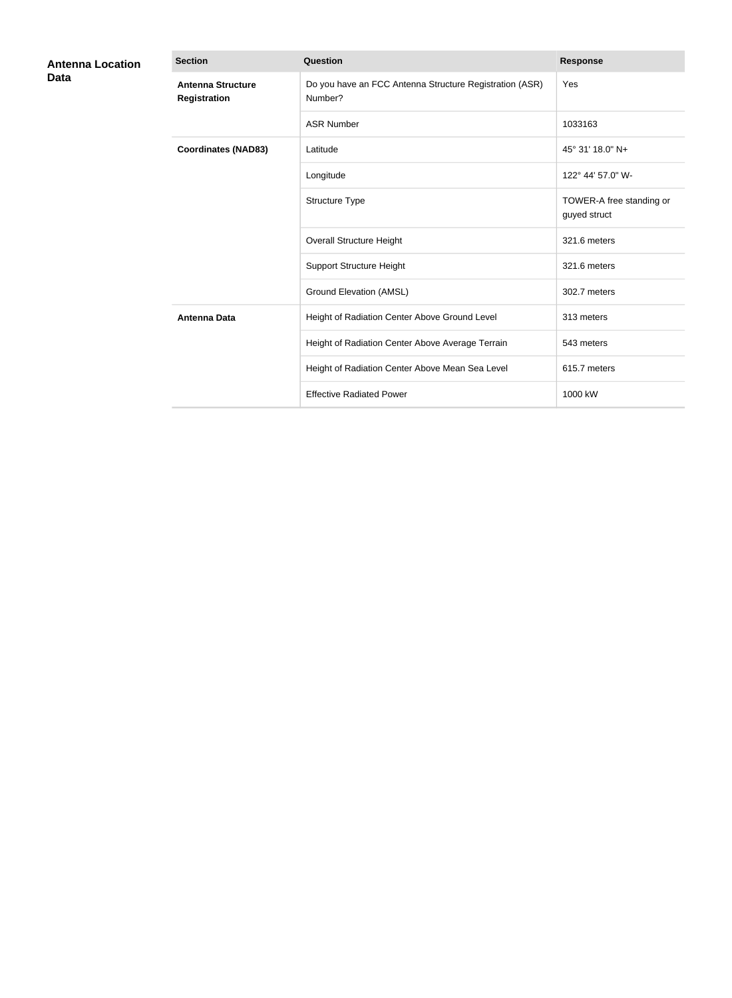| <b>Antenna Location</b><br>Data | <b>Section</b>                                  | Question                                                           | <b>Response</b>                          |  |
|---------------------------------|-------------------------------------------------|--------------------------------------------------------------------|------------------------------------------|--|
|                                 | <b>Antenna Structure</b><br><b>Registration</b> | Do you have an FCC Antenna Structure Registration (ASR)<br>Number? | Yes                                      |  |
|                                 |                                                 | <b>ASR Number</b>                                                  | 1033163                                  |  |
|                                 | <b>Coordinates (NAD83)</b>                      | Latitude                                                           | 45° 31' 18.0" N+                         |  |
|                                 |                                                 | Longitude                                                          | 122° 44' 57.0" W-                        |  |
|                                 |                                                 | Structure Type                                                     | TOWER-A free standing or<br>guyed struct |  |
|                                 |                                                 | <b>Overall Structure Height</b>                                    | 321.6 meters                             |  |
|                                 |                                                 | <b>Support Structure Height</b>                                    | 321.6 meters                             |  |
|                                 |                                                 | <b>Ground Elevation (AMSL)</b>                                     | 302.7 meters                             |  |
|                                 | <b>Antenna Data</b>                             | Height of Radiation Center Above Ground Level                      | 313 meters                               |  |
|                                 |                                                 | Height of Radiation Center Above Average Terrain                   | 543 meters                               |  |
|                                 |                                                 | Height of Radiation Center Above Mean Sea Level                    | 615.7 meters                             |  |
|                                 |                                                 | <b>Effective Radiated Power</b>                                    | 1000 kW                                  |  |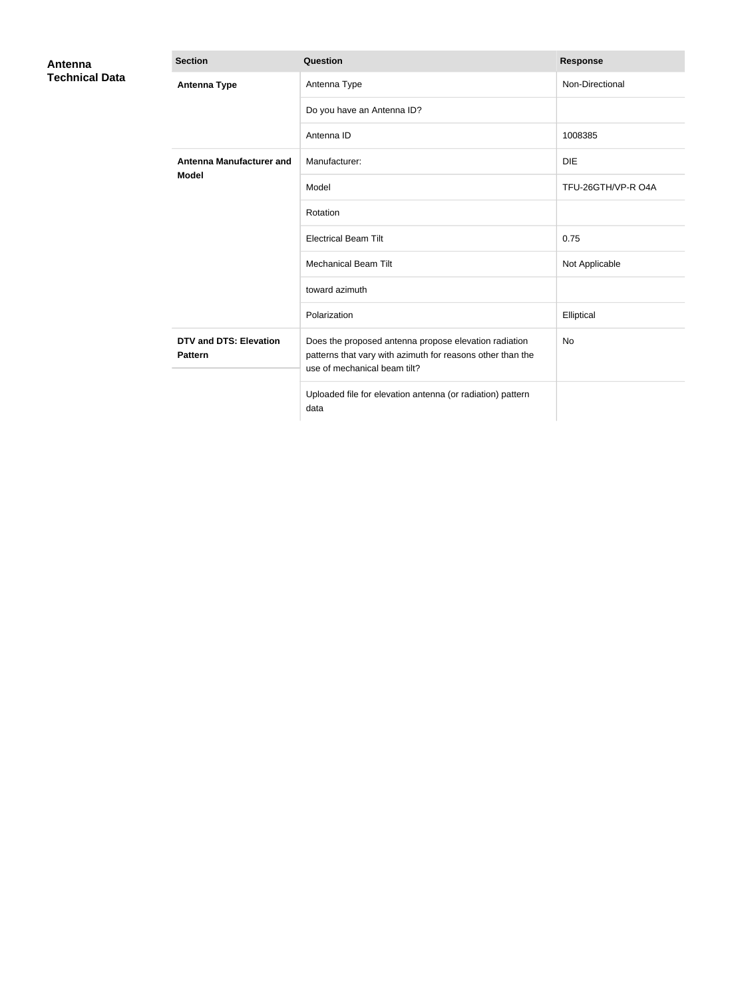| Antenna<br><b>Technical Data</b> | <b>Section</b>                                  | <b>Question</b>                                                                                                                                     | <b>Response</b>    |
|----------------------------------|-------------------------------------------------|-----------------------------------------------------------------------------------------------------------------------------------------------------|--------------------|
|                                  | <b>Antenna Type</b>                             | Antenna Type                                                                                                                                        | Non-Directional    |
|                                  |                                                 | Do you have an Antenna ID?                                                                                                                          |                    |
|                                  |                                                 | Antenna ID                                                                                                                                          | 1008385            |
|                                  | <b>Antenna Manufacturer and</b><br><b>Model</b> | Manufacturer:                                                                                                                                       | <b>DIE</b>         |
|                                  |                                                 | Model                                                                                                                                               | TFU-26GTH/VP-R O4A |
|                                  |                                                 | Rotation                                                                                                                                            |                    |
|                                  |                                                 | <b>Electrical Beam Tilt</b>                                                                                                                         | 0.75               |
|                                  |                                                 | <b>Mechanical Beam Tilt</b>                                                                                                                         | Not Applicable     |
|                                  |                                                 | toward azimuth                                                                                                                                      |                    |
|                                  |                                                 | Polarization                                                                                                                                        | Elliptical         |
|                                  | <b>DTV and DTS: Elevation</b><br><b>Pattern</b> | Does the proposed antenna propose elevation radiation<br>patterns that vary with azimuth for reasons other than the<br>use of mechanical beam tilt? | No                 |
|                                  |                                                 | Uploaded file for elevation antenna (or radiation) pattern<br>data                                                                                  |                    |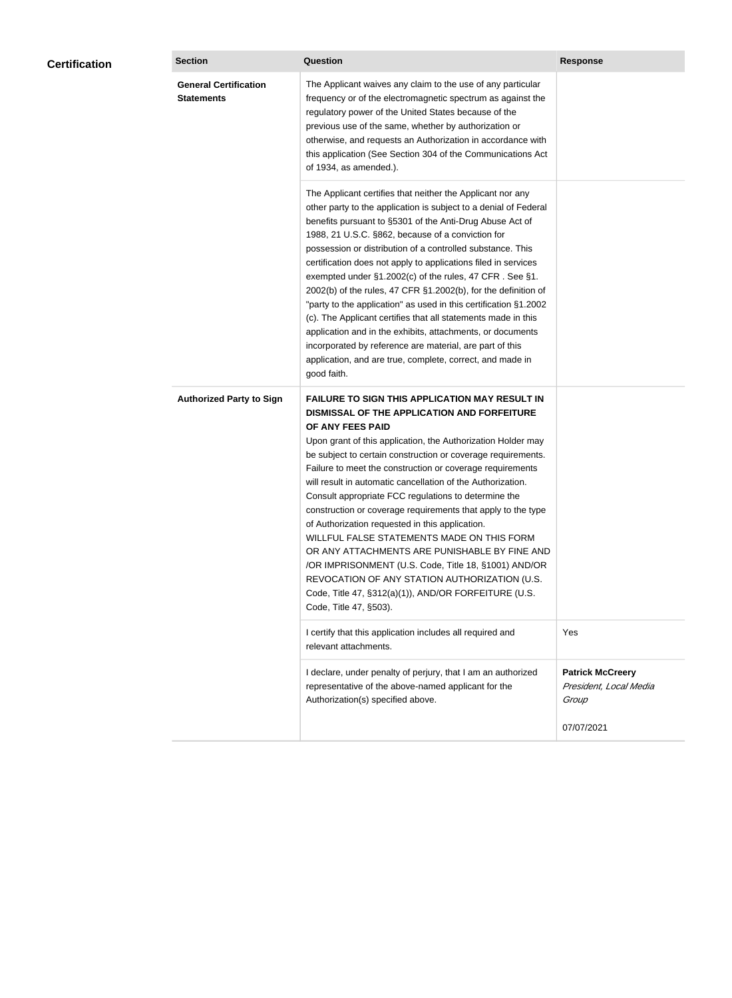| <b>Certification</b> | <b>Section</b>                                    | <b>Question</b>                                                                                                                                                                                                                                                                                                                                                                                                                                                                                                                                                                                                                                                                                                                                                                                                                                           | <b>Response</b>                                            |
|----------------------|---------------------------------------------------|-----------------------------------------------------------------------------------------------------------------------------------------------------------------------------------------------------------------------------------------------------------------------------------------------------------------------------------------------------------------------------------------------------------------------------------------------------------------------------------------------------------------------------------------------------------------------------------------------------------------------------------------------------------------------------------------------------------------------------------------------------------------------------------------------------------------------------------------------------------|------------------------------------------------------------|
|                      | <b>General Certification</b><br><b>Statements</b> | The Applicant waives any claim to the use of any particular<br>frequency or of the electromagnetic spectrum as against the<br>regulatory power of the United States because of the<br>previous use of the same, whether by authorization or<br>otherwise, and requests an Authorization in accordance with<br>this application (See Section 304 of the Communications Act<br>of 1934, as amended.).                                                                                                                                                                                                                                                                                                                                                                                                                                                       |                                                            |
|                      |                                                   | The Applicant certifies that neither the Applicant nor any<br>other party to the application is subject to a denial of Federal<br>benefits pursuant to §5301 of the Anti-Drug Abuse Act of<br>1988, 21 U.S.C. §862, because of a conviction for<br>possession or distribution of a controlled substance. This<br>certification does not apply to applications filed in services<br>exempted under §1.2002(c) of the rules, 47 CFR. See §1.<br>2002(b) of the rules, 47 CFR §1.2002(b), for the definition of<br>"party to the application" as used in this certification §1.2002<br>(c). The Applicant certifies that all statements made in this<br>application and in the exhibits, attachments, or documents<br>incorporated by reference are material, are part of this<br>application, and are true, complete, correct, and made in<br>good faith.   |                                                            |
|                      | <b>Authorized Party to Sign</b>                   | <b>FAILURE TO SIGN THIS APPLICATION MAY RESULT IN</b><br>DISMISSAL OF THE APPLICATION AND FORFEITURE<br>OF ANY FEES PAID<br>Upon grant of this application, the Authorization Holder may<br>be subject to certain construction or coverage requirements.<br>Failure to meet the construction or coverage requirements<br>will result in automatic cancellation of the Authorization.<br>Consult appropriate FCC regulations to determine the<br>construction or coverage requirements that apply to the type<br>of Authorization requested in this application.<br>WILLFUL FALSE STATEMENTS MADE ON THIS FORM<br>OR ANY ATTACHMENTS ARE PUNISHABLE BY FINE AND<br>/OR IMPRISONMENT (U.S. Code, Title 18, §1001) AND/OR<br>REVOCATION OF ANY STATION AUTHORIZATION (U.S.<br>Code, Title 47, §312(a)(1)), AND/OR FORFEITURE (U.S.<br>Code, Title 47, §503). |                                                            |
|                      |                                                   | I certify that this application includes all required and<br>relevant attachments.                                                                                                                                                                                                                                                                                                                                                                                                                                                                                                                                                                                                                                                                                                                                                                        | Yes                                                        |
|                      |                                                   | I declare, under penalty of perjury, that I am an authorized<br>representative of the above-named applicant for the<br>Authorization(s) specified above.                                                                                                                                                                                                                                                                                                                                                                                                                                                                                                                                                                                                                                                                                                  | <b>Patrick McCreery</b><br>President, Local Media<br>Group |
|                      |                                                   |                                                                                                                                                                                                                                                                                                                                                                                                                                                                                                                                                                                                                                                                                                                                                                                                                                                           | 07/07/2021                                                 |